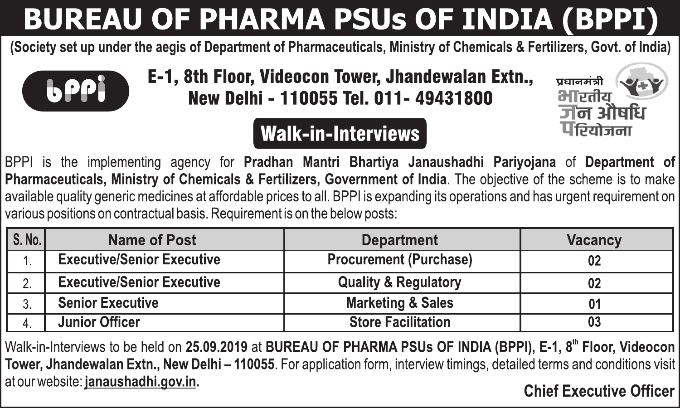## **BUREAU OF PHARMA PSUs OF INDIA (BPPI)**

(Society set up under the aegis of Department of Pharmaceuticals, Ministry of Chemicals & Fertilizers, Goyt, of India)



E-1, 8th Floor, Videocon Tower, Jhandewalan Extn.. New Delhi - 110055 Tel. 011- 49431800

#### **Walk-in-Interviews**



BPPI is the implementing agency for Pradhan Mantri Bhartiva Janaushadhi Parivoiana of Department of Pharmaceuticals. Ministry of Chemicals & Fertilizers. Government of India. The objective of the scheme is to make available quality generic medicines at affordable prices to all. BPPI is expanding its operations and has urgent requirement on various positions on contractual basis. Requirement is on the below posts:

| S.No. | Name of Post                      | <b>Department</b>               | Vacancy |
|-------|-----------------------------------|---------------------------------|---------|
|       | <b>Executive/Senior Executive</b> | Procurement (Purchase)          | 02      |
| ۷.    | <b>Executive/Senior Executive</b> | <b>Quality &amp; Regulatory</b> | 02      |
|       | <b>Senior Executive</b>           | <b>Marketing &amp; Sales</b>    | 01      |
|       | Junior Officer                    | <b>Store Facilitation</b>       | 03      |

Walk-in-Interviews to be held on 25.09.2019 at BUREAU OF PHARMA PSUs OF INDIA (BPPI). E-1. 8<sup>th</sup> Floor, Videocon Tower, Jhandewalan Extn., New Delhi - 110055. For application form, interview timings, detailed terms and conditions visit at our website: janaushadhi.gov.in. **Chief Executive Officer**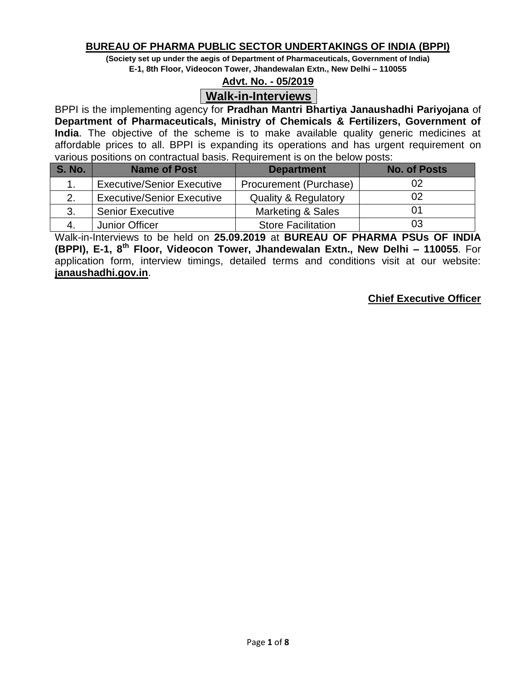## **BUREAU OF PHARMA PUBLIC SECTOR UNDERTAKINGS OF INDIA (BPPI)**

**(Society set up under the aegis of Department of Pharmaceuticals, Government of India)**

**E-1, 8th Floor, Videocon Tower, Jhandewalan Extn., New Delhi – 110055**

## **Advt. No. - 05/2019**

## **Walk-in-Interviews**

BPPI is the implementing agency for **Pradhan Mantri Bhartiya Janaushadhi Pariyojana** of **Department of Pharmaceuticals, Ministry of Chemicals & Fertilizers, Government of India**. The objective of the scheme is to make available quality generic medicines at affordable prices to all. BPPI is expanding its operations and has urgent requirement on various positions on contractual basis. Requirement is on the below posts:

| <b>S. No.</b> | <b>Name of Post</b>               | <b>Department</b>               | <b>No. of Posts</b> |
|---------------|-----------------------------------|---------------------------------|---------------------|
|               | <b>Executive/Senior Executive</b> | Procurement (Purchase)          | 02                  |
|               | <b>Executive/Senior Executive</b> | <b>Quality &amp; Regulatory</b> |                     |
| 3.            | <b>Senior Executive</b>           | Marketing & Sales               |                     |
|               | Junior Officer                    | <b>Store Facilitation</b>       | 03                  |

Walk-in-Interviews to be held on **25.09.2019** at **BUREAU OF PHARMA PSUs OF INDIA (BPPI), E-1, 8th Floor, Videocon Tower, Jhandewalan Extn., New Delhi – 110055**. For application form, interview timings, detailed terms and conditions visit at our website: **janaushadhi.gov.in**.

### **Chief Executive Officer**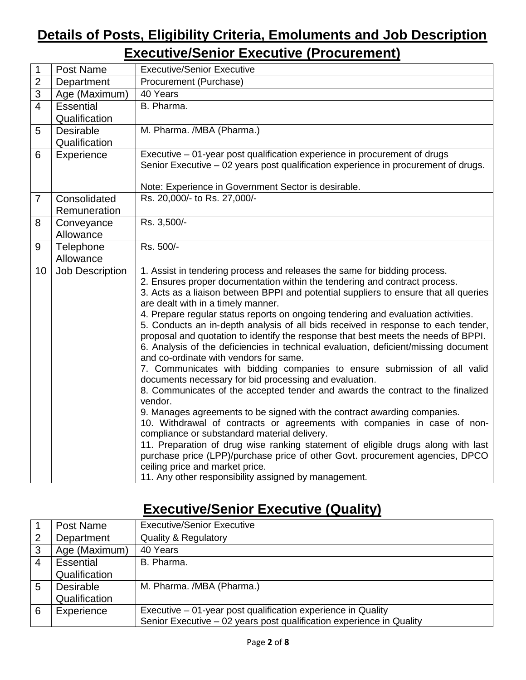## **Details of Posts, Eligibility Criteria, Emoluments and Job Description Executive/Senior Executive (Procurement)**

| 1              | Post Name              | <b>Executive/Senior Executive</b>                                                                                                                                                                                                                                                                                                                                                                                                                                                                                                                                                                                                                                                                                                                                                                                                                                                                                                                                                                                                                                                                                                                                                                                      |
|----------------|------------------------|------------------------------------------------------------------------------------------------------------------------------------------------------------------------------------------------------------------------------------------------------------------------------------------------------------------------------------------------------------------------------------------------------------------------------------------------------------------------------------------------------------------------------------------------------------------------------------------------------------------------------------------------------------------------------------------------------------------------------------------------------------------------------------------------------------------------------------------------------------------------------------------------------------------------------------------------------------------------------------------------------------------------------------------------------------------------------------------------------------------------------------------------------------------------------------------------------------------------|
| $\overline{2}$ | Department             | Procurement (Purchase)                                                                                                                                                                                                                                                                                                                                                                                                                                                                                                                                                                                                                                                                                                                                                                                                                                                                                                                                                                                                                                                                                                                                                                                                 |
| $\overline{3}$ | Age (Maximum)          | 40 Years                                                                                                                                                                                                                                                                                                                                                                                                                                                                                                                                                                                                                                                                                                                                                                                                                                                                                                                                                                                                                                                                                                                                                                                                               |
| $\overline{4}$ | Essential              | B. Pharma.                                                                                                                                                                                                                                                                                                                                                                                                                                                                                                                                                                                                                                                                                                                                                                                                                                                                                                                                                                                                                                                                                                                                                                                                             |
|                | Qualification          |                                                                                                                                                                                                                                                                                                                                                                                                                                                                                                                                                                                                                                                                                                                                                                                                                                                                                                                                                                                                                                                                                                                                                                                                                        |
| 5              | Desirable              | M. Pharma. /MBA (Pharma.)                                                                                                                                                                                                                                                                                                                                                                                                                                                                                                                                                                                                                                                                                                                                                                                                                                                                                                                                                                                                                                                                                                                                                                                              |
|                | Qualification          |                                                                                                                                                                                                                                                                                                                                                                                                                                                                                                                                                                                                                                                                                                                                                                                                                                                                                                                                                                                                                                                                                                                                                                                                                        |
| 6              | Experience             | Executive - 01-year post qualification experience in procurement of drugs<br>Senior Executive - 02 years post qualification experience in procurement of drugs.                                                                                                                                                                                                                                                                                                                                                                                                                                                                                                                                                                                                                                                                                                                                                                                                                                                                                                                                                                                                                                                        |
|                |                        |                                                                                                                                                                                                                                                                                                                                                                                                                                                                                                                                                                                                                                                                                                                                                                                                                                                                                                                                                                                                                                                                                                                                                                                                                        |
|                |                        | Note: Experience in Government Sector is desirable.                                                                                                                                                                                                                                                                                                                                                                                                                                                                                                                                                                                                                                                                                                                                                                                                                                                                                                                                                                                                                                                                                                                                                                    |
| $\overline{7}$ | Consolidated           | Rs. 20,000/- to Rs. 27,000/-                                                                                                                                                                                                                                                                                                                                                                                                                                                                                                                                                                                                                                                                                                                                                                                                                                                                                                                                                                                                                                                                                                                                                                                           |
|                | Remuneration           |                                                                                                                                                                                                                                                                                                                                                                                                                                                                                                                                                                                                                                                                                                                                                                                                                                                                                                                                                                                                                                                                                                                                                                                                                        |
| 8              | Conveyance             | Rs. 3,500/-                                                                                                                                                                                                                                                                                                                                                                                                                                                                                                                                                                                                                                                                                                                                                                                                                                                                                                                                                                                                                                                                                                                                                                                                            |
|                | Allowance              |                                                                                                                                                                                                                                                                                                                                                                                                                                                                                                                                                                                                                                                                                                                                                                                                                                                                                                                                                                                                                                                                                                                                                                                                                        |
| 9              | Telephone              | Rs. 500/-                                                                                                                                                                                                                                                                                                                                                                                                                                                                                                                                                                                                                                                                                                                                                                                                                                                                                                                                                                                                                                                                                                                                                                                                              |
|                | Allowance              |                                                                                                                                                                                                                                                                                                                                                                                                                                                                                                                                                                                                                                                                                                                                                                                                                                                                                                                                                                                                                                                                                                                                                                                                                        |
| 10             | <b>Job Description</b> | 1. Assist in tendering process and releases the same for bidding process.<br>2. Ensures proper documentation within the tendering and contract process.<br>3. Acts as a liaison between BPPI and potential suppliers to ensure that all queries<br>are dealt with in a timely manner.<br>4. Prepare regular status reports on ongoing tendering and evaluation activities.<br>5. Conducts an in-depth analysis of all bids received in response to each tender,<br>proposal and quotation to identify the response that best meets the needs of BPPI.<br>6. Analysis of the deficiencies in technical evaluation, deficient/missing document<br>and co-ordinate with vendors for same.<br>7. Communicates with bidding companies to ensure submission of all valid<br>documents necessary for bid processing and evaluation.<br>8. Communicates of the accepted tender and awards the contract to the finalized<br>vendor.<br>9. Manages agreements to be signed with the contract awarding companies.<br>10. Withdrawal of contracts or agreements with companies in case of non-<br>compliance or substandard material delivery.<br>11. Preparation of drug wise ranking statement of eligible drugs along with last |
|                |                        | purchase price (LPP)/purchase price of other Govt. procurement agencies, DPCO<br>ceiling price and market price.<br>11. Any other responsibility assigned by management.                                                                                                                                                                                                                                                                                                                                                                                                                                                                                                                                                                                                                                                                                                                                                                                                                                                                                                                                                                                                                                               |

# **Executive/Senior Executive (Quality)**

|                | Post Name        | <b>Executive/Senior Executive</b>                                    |
|----------------|------------------|----------------------------------------------------------------------|
| $\overline{2}$ | Department       | <b>Quality &amp; Regulatory</b>                                      |
| 3              | Age (Maximum)    | 40 Years                                                             |
| 4              | <b>Essential</b> | B. Pharma.                                                           |
|                | Qualification    |                                                                      |
| 5              | <b>Desirable</b> | M. Pharma. /MBA (Pharma.)                                            |
|                | Qualification    |                                                                      |
| 6              | Experience       | Executive – 01-year post qualification experience in Quality         |
|                |                  | Senior Executive - 02 years post qualification experience in Quality |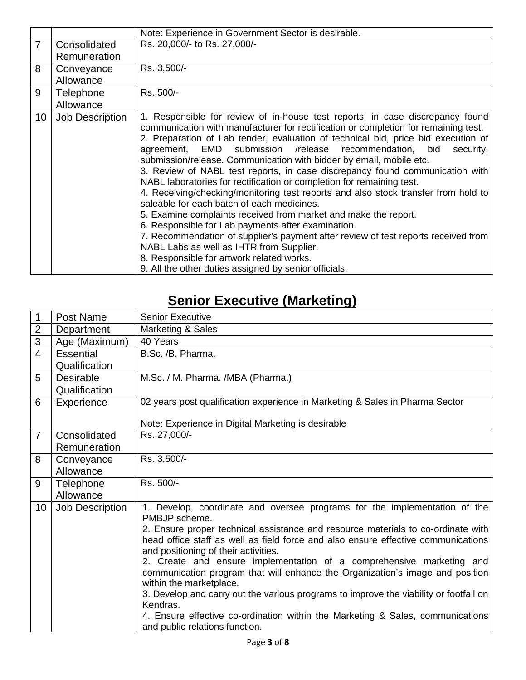|                 |                 | Note: Experience in Government Sector is desirable.                                                                                                                                                                                                                                                                                                                                                                                                                                                                                                                                                                                                                                                                                                                                                                                                                                                                                                                                                                                                                   |
|-----------------|-----------------|-----------------------------------------------------------------------------------------------------------------------------------------------------------------------------------------------------------------------------------------------------------------------------------------------------------------------------------------------------------------------------------------------------------------------------------------------------------------------------------------------------------------------------------------------------------------------------------------------------------------------------------------------------------------------------------------------------------------------------------------------------------------------------------------------------------------------------------------------------------------------------------------------------------------------------------------------------------------------------------------------------------------------------------------------------------------------|
| $\overline{7}$  | Consolidated    | Rs. 20,000/- to Rs. 27,000/-                                                                                                                                                                                                                                                                                                                                                                                                                                                                                                                                                                                                                                                                                                                                                                                                                                                                                                                                                                                                                                          |
|                 | Remuneration    |                                                                                                                                                                                                                                                                                                                                                                                                                                                                                                                                                                                                                                                                                                                                                                                                                                                                                                                                                                                                                                                                       |
| 8               | Conveyance      | Rs. 3,500/-                                                                                                                                                                                                                                                                                                                                                                                                                                                                                                                                                                                                                                                                                                                                                                                                                                                                                                                                                                                                                                                           |
|                 | Allowance       |                                                                                                                                                                                                                                                                                                                                                                                                                                                                                                                                                                                                                                                                                                                                                                                                                                                                                                                                                                                                                                                                       |
| 9               | Telephone       | Rs. 500/-                                                                                                                                                                                                                                                                                                                                                                                                                                                                                                                                                                                                                                                                                                                                                                                                                                                                                                                                                                                                                                                             |
|                 | Allowance       |                                                                                                                                                                                                                                                                                                                                                                                                                                                                                                                                                                                                                                                                                                                                                                                                                                                                                                                                                                                                                                                                       |
| 10 <sup>°</sup> | Job Description | 1. Responsible for review of in-house test reports, in case discrepancy found<br>communication with manufacturer for rectification or completion for remaining test.<br>2. Preparation of Lab tender, evaluation of technical bid, price bid execution of<br>agreement, EMD submission /release recommendation, bid<br>security,<br>submission/release. Communication with bidder by email, mobile etc.<br>3. Review of NABL test reports, in case discrepancy found communication with<br>NABL laboratories for rectification or completion for remaining test.<br>4. Receiving/checking/monitoring test reports and also stock transfer from hold to<br>saleable for each batch of each medicines.<br>5. Examine complaints received from market and make the report.<br>6. Responsible for Lab payments after examination.<br>7. Recommendation of supplier's payment after review of test reports received from<br>NABL Labs as well as IHTR from Supplier.<br>8. Responsible for artwork related works.<br>9. All the other duties assigned by senior officials. |

# **Senior Executive (Marketing)**

| 1              | Post Name              | <b>Senior Executive</b>                                                                                                                                               |
|----------------|------------------------|-----------------------------------------------------------------------------------------------------------------------------------------------------------------------|
| $\overline{2}$ | Department             | Marketing & Sales                                                                                                                                                     |
| 3              | Age (Maximum)          | 40 Years                                                                                                                                                              |
| $\overline{4}$ | <b>Essential</b>       | B.Sc. /B. Pharma.                                                                                                                                                     |
|                | Qualification          |                                                                                                                                                                       |
| 5              | <b>Desirable</b>       | M.Sc. / M. Pharma. /MBA (Pharma.)                                                                                                                                     |
|                | Qualification          |                                                                                                                                                                       |
| 6              | Experience             | 02 years post qualification experience in Marketing & Sales in Pharma Sector                                                                                          |
|                |                        |                                                                                                                                                                       |
|                |                        | Note: Experience in Digital Marketing is desirable                                                                                                                    |
| $\overline{7}$ | Consolidated           | Rs. 27,000/-                                                                                                                                                          |
|                | Remuneration           |                                                                                                                                                                       |
| 8              | Conveyance             | Rs. 3,500/-                                                                                                                                                           |
|                | Allowance              |                                                                                                                                                                       |
| 9              | Telephone              | Rs. 500/-                                                                                                                                                             |
|                | Allowance              |                                                                                                                                                                       |
| 10             | <b>Job Description</b> | 1. Develop, coordinate and oversee programs for the implementation of the<br>PMBJP scheme.                                                                            |
|                |                        | 2. Ensure proper technical assistance and resource materials to co-ordinate with<br>head office staff as well as field force and also ensure effective communications |
|                |                        | and positioning of their activities.<br>2. Create and ensure implementation of a comprehensive marketing and                                                          |
|                |                        | communication program that will enhance the Organization's image and position                                                                                         |
|                |                        | within the marketplace.                                                                                                                                               |
|                |                        | 3. Develop and carry out the various programs to improve the viability or footfall on<br>Kendras.                                                                     |
|                |                        | 4. Ensure effective co-ordination within the Marketing & Sales, communications<br>and public relations function.                                                      |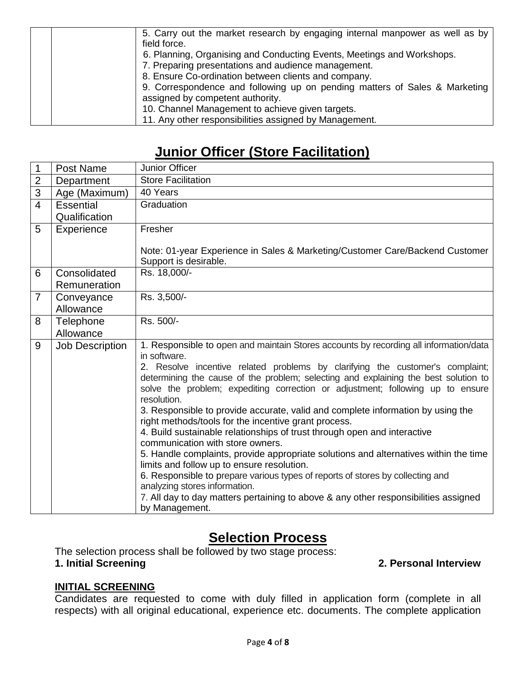| 5. Carry out the market research by engaging internal manpower as well as by<br>field force. |
|----------------------------------------------------------------------------------------------|
| 6. Planning, Organising and Conducting Events, Meetings and Workshops.                       |
| 7. Preparing presentations and audience management.                                          |
| 8. Ensure Co-ordination between clients and company.                                         |
| 9. Correspondence and following up on pending matters of Sales & Marketing                   |
| assigned by competent authority.                                                             |
| 10. Channel Management to achieve given targets.                                             |
| 11. Any other responsibilities assigned by Management.                                       |

## **Junior Officer (Store Facilitation)**

| 1              | Post Name                    | Junior Officer                                                                                                                                                                                                                                         |
|----------------|------------------------------|--------------------------------------------------------------------------------------------------------------------------------------------------------------------------------------------------------------------------------------------------------|
| $\overline{2}$ | Department                   | <b>Store Facilitation</b>                                                                                                                                                                                                                              |
| $\overline{3}$ | Age (Maximum)                | 40 Years                                                                                                                                                                                                                                               |
| $\overline{4}$ | Essential                    | Graduation                                                                                                                                                                                                                                             |
|                | Qualification                |                                                                                                                                                                                                                                                        |
| 5              | Experience                   | Fresher                                                                                                                                                                                                                                                |
|                |                              | Note: 01-year Experience in Sales & Marketing/Customer Care/Backend Customer<br>Support is desirable.                                                                                                                                                  |
| 6              | Consolidated<br>Remuneration | Rs. 18,000/-                                                                                                                                                                                                                                           |
| $\overline{7}$ | Conveyance<br>Allowance      | Rs. 3,500/-                                                                                                                                                                                                                                            |
| 8              | Telephone                    | Rs. 500/-                                                                                                                                                                                                                                              |
|                | Allowance                    |                                                                                                                                                                                                                                                        |
| 9              | <b>Job Description</b>       | 1. Responsible to open and maintain Stores accounts by recording all information/data                                                                                                                                                                  |
|                |                              | in software.                                                                                                                                                                                                                                           |
|                |                              | 2. Resolve incentive related problems by clarifying the customer's complaint;<br>determining the cause of the problem; selecting and explaining the best solution to<br>solve the problem; expediting correction or adjustment; following up to ensure |
|                |                              | resolution.                                                                                                                                                                                                                                            |
|                |                              | 3. Responsible to provide accurate, valid and complete information by using the<br>right methods/tools for the incentive grant process.                                                                                                                |
|                |                              | 4. Build sustainable relationships of trust through open and interactive                                                                                                                                                                               |
|                |                              | communication with store owners.                                                                                                                                                                                                                       |
|                |                              | 5. Handle complaints, provide appropriate solutions and alternatives within the time                                                                                                                                                                   |
|                |                              | limits and follow up to ensure resolution.                                                                                                                                                                                                             |
|                |                              | 6. Responsible to prepare various types of reports of stores by collecting and<br>analyzing stores information.                                                                                                                                        |
|                |                              | 7. All day to day matters pertaining to above & any other responsibilities assigned<br>by Management.                                                                                                                                                  |

## **Selection Process**

The selection process shall be followed by two stage process:

**1. Initial Screening 2. Personal Interview**

## **INITIAL SCREENING**

Candidates are requested to come with duly filled in application form (complete in all respects) with all original educational, experience etc. documents. The complete application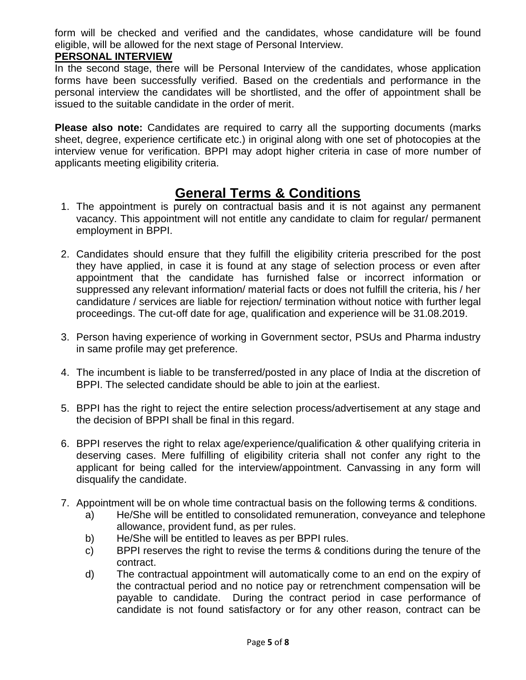form will be checked and verified and the candidates, whose candidature will be found eligible, will be allowed for the next stage of Personal Interview.

## **PERSONAL INTERVIEW**

In the second stage, there will be Personal Interview of the candidates, whose application forms have been successfully verified. Based on the credentials and performance in the personal interview the candidates will be shortlisted, and the offer of appointment shall be issued to the suitable candidate in the order of merit.

**Please also note:** Candidates are required to carry all the supporting documents (marks sheet, degree, experience certificate etc.) in original along with one set of photocopies at the interview venue for verification. BPPI may adopt higher criteria in case of more number of applicants meeting eligibility criteria.

## **General Terms & Conditions**

- 1. The appointment is purely on contractual basis and it is not against any permanent vacancy. This appointment will not entitle any candidate to claim for regular/ permanent employment in BPPI.
- 2. Candidates should ensure that they fulfill the eligibility criteria prescribed for the post they have applied, in case it is found at any stage of selection process or even after appointment that the candidate has furnished false or incorrect information or suppressed any relevant information/ material facts or does not fulfill the criteria, his / her candidature / services are liable for rejection/ termination without notice with further legal proceedings. The cut-off date for age, qualification and experience will be 31.08.2019.
- 3. Person having experience of working in Government sector, PSUs and Pharma industry in same profile may get preference.
- 4. The incumbent is liable to be transferred/posted in any place of India at the discretion of BPPI. The selected candidate should be able to join at the earliest.
- 5. BPPI has the right to reject the entire selection process/advertisement at any stage and the decision of BPPI shall be final in this regard.
- 6. BPPI reserves the right to relax age/experience/qualification & other qualifying criteria in deserving cases. Mere fulfilling of eligibility criteria shall not confer any right to the applicant for being called for the interview/appointment. Canvassing in any form will disqualify the candidate.
- 7. Appointment will be on whole time contractual basis on the following terms & conditions.
	- a) He/She will be entitled to consolidated remuneration, conveyance and telephone allowance, provident fund, as per rules.
	- b) He/She will be entitled to leaves as per BPPI rules.
	- c) BPPI reserves the right to revise the terms & conditions during the tenure of the contract.
	- d) The contractual appointment will automatically come to an end on the expiry of the contractual period and no notice pay or retrenchment compensation will be payable to candidate. During the contract period in case performance of candidate is not found satisfactory or for any other reason, contract can be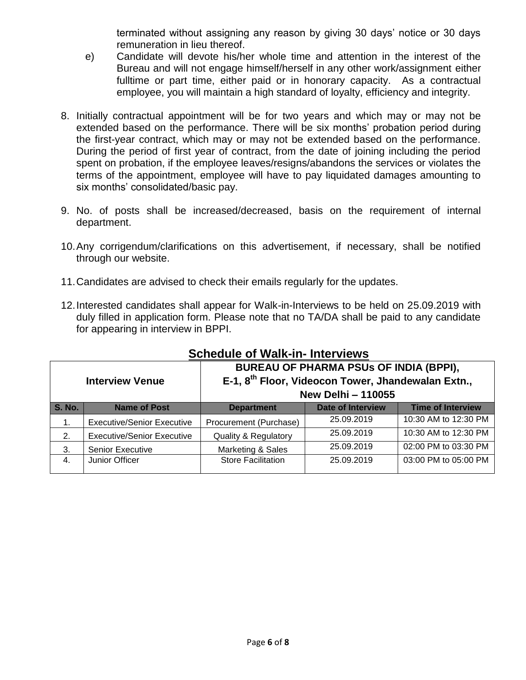terminated without assigning any reason by giving 30 days' notice or 30 days remuneration in lieu thereof.

- e) Candidate will devote his/her whole time and attention in the interest of the Bureau and will not engage himself/herself in any other work/assignment either fulltime or part time, either paid or in honorary capacity. As a contractual employee, you will maintain a high standard of loyalty, efficiency and integrity.
- 8. Initially contractual appointment will be for two years and which may or may not be extended based on the performance. There will be six months' probation period during the first-year contract, which may or may not be extended based on the performance. During the period of first year of contract, from the date of joining including the period spent on probation, if the employee leaves/resigns/abandons the services or violates the terms of the appointment, employee will have to pay liquidated damages amounting to six months' consolidated/basic pay.
- 9. No. of posts shall be increased/decreased, basis on the requirement of internal department.
- 10.Any corrigendum/clarifications on this advertisement, if necessary, shall be notified through our website.
- 11.Candidates are advised to check their emails regularly for the updates.
- 12.Interested candidates shall appear for Walk-in-Interviews to be held on 25.09.2019 with duly filled in application form. Please note that no TA/DA shall be paid to any candidate for appearing in interview in BPPI.

| <b>Interview Venue</b>                                                                |                                   | <b>BUREAU OF PHARMA PSUs OF INDIA (BPPI),</b><br>E-1, 8 <sup>th</sup> Floor, Videocon Tower, Jhandewalan Extn.,<br><b>New Delhi-110055</b> |            |                          |  |
|---------------------------------------------------------------------------------------|-----------------------------------|--------------------------------------------------------------------------------------------------------------------------------------------|------------|--------------------------|--|
| <b>S. No.</b><br><b>Date of Interview</b><br><b>Name of Post</b><br><b>Department</b> |                                   |                                                                                                                                            |            | <b>Time of Interview</b> |  |
| 1.                                                                                    | <b>Executive/Senior Executive</b> | Procurement (Purchase)                                                                                                                     | 25.09.2019 | 10:30 AM to 12:30 PM     |  |
| 2.                                                                                    | <b>Executive/Senior Executive</b> | <b>Quality &amp; Regulatory</b>                                                                                                            | 25.09.2019 | 10:30 AM to 12:30 PM     |  |
| 3.                                                                                    | <b>Senior Executive</b>           | Marketing & Sales                                                                                                                          | 25.09.2019 | 02:00 PM to 03:30 PM     |  |
| 4.                                                                                    | Junior Officer                    | <b>Store Facilitation</b>                                                                                                                  | 25.09.2019 | 03:00 PM to 05:00 PM     |  |

## **Schedule of Walk-in- Interviews**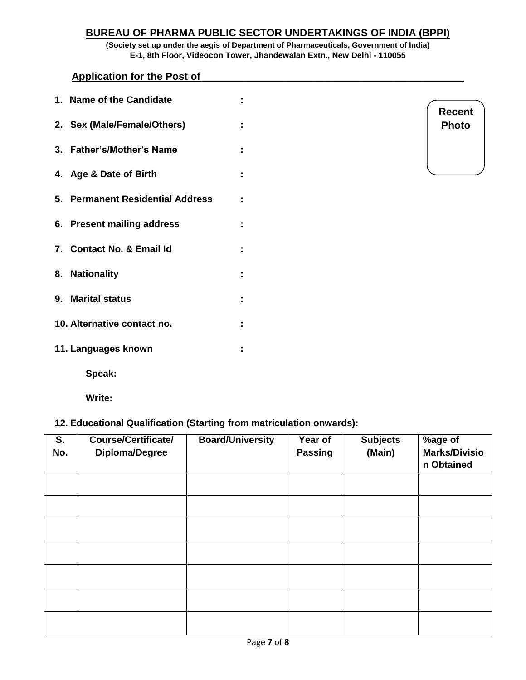## **BUREAU OF PHARMA PUBLIC SECTOR UNDERTAKINGS OF INDIA (BPPI)**

**(Society set up under the aegis of Department of Pharmaceuticals, Government of India) E-1, 8th Floor, Videocon Tower, Jhandewalan Extn., New Delhi - 110055**

**Application for the Post of** 

| 1. Name of the Candidate         |  |
|----------------------------------|--|
| 2. Sex (Male/Female/Others)      |  |
| 3. Father's/Mother's Name        |  |
| 4. Age & Date of Birth           |  |
| 5. Permanent Residential Address |  |
| 6. Present mailing address       |  |
| 7. Contact No. & Email Id        |  |
| 8. Nationality                   |  |
| 9. Marital status                |  |
| 10. Alternative contact no.      |  |
| 11. Languages known              |  |
| Speak:                           |  |

| Recent       |  |
|--------------|--|
| <b>Photo</b> |  |

**Write:**

#### **12. Educational Qualification (Starting from matriculation onwards):**

| S.<br>No. | <b>Course/Certificate/</b><br>Diploma/Degree | <b>Board/University</b> | Year of<br><b>Passing</b> | <b>Subjects</b><br>(Main) | %age of<br><b>Marks/Divisio</b><br>n Obtained |
|-----------|----------------------------------------------|-------------------------|---------------------------|---------------------------|-----------------------------------------------|
|           |                                              |                         |                           |                           |                                               |
|           |                                              |                         |                           |                           |                                               |
|           |                                              |                         |                           |                           |                                               |
|           |                                              |                         |                           |                           |                                               |
|           |                                              |                         |                           |                           |                                               |
|           |                                              |                         |                           |                           |                                               |
|           |                                              |                         |                           |                           |                                               |